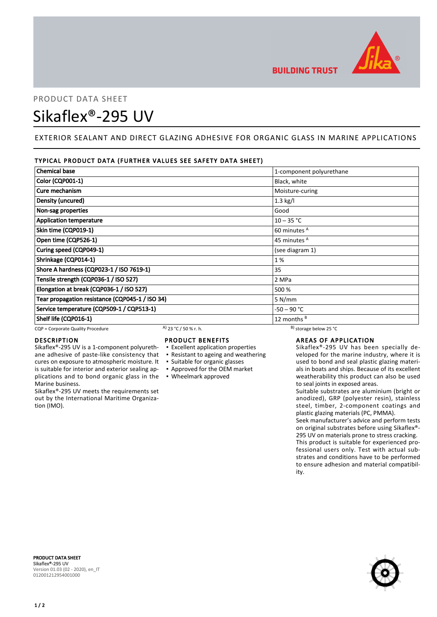

# PRODUCT DATA SHEET Sikaflex®-295 UV

# EXTERIOR SEALANT AND DIRECT GLAZING ADHESIVE FOR ORGANIC GLASS IN MARINE APPLICATIONS

# TYPICAL PRODUCT DATA (FURTHER VALUES SEE SAFETY DATA SHEET)

| <b>Chemical base</b>                            | 1-component polyurethane |
|-------------------------------------------------|--------------------------|
| <b>Color (CQP001-1)</b>                         | Black, white             |
| Cure mechanism                                  | Moisture-curing          |
| Density (uncured)                               | $1.3$ kg/l               |
| Non-sag properties                              | Good                     |
| <b>Application temperature</b>                  | $10 - 35 °C$             |
| Skin time (CQP019-1)                            | 60 minutes <sup>A</sup>  |
| Open time (CQP526-1)                            | 45 minutes <sup>A</sup>  |
| Curing speed (CQP049-1)                         | (see diagram 1)          |
| Shrinkage (CQP014-1)                            | 1 %                      |
| Shore A hardness (CQP023-1 / ISO 7619-1)        | 35                       |
| Tensile strength (CQP036-1 / ISO 527)           | 2 MPa                    |
| Elongation at break (CQP036-1 / ISO 527)        | 500 %                    |
| Tear propagation resistance (CQP045-1 / ISO 34) | 5 N/mm                   |
| Service temperature (CQP509-1 / CQP513-1)       | $-50 - 90 °C$            |
| Shelf life (CQP016-1)                           | 12 months $B$            |

CQP = Corporate Quality Procedure A)  $23 °C / 50 %$  r. h. B) storage below 25 °C

# DESCRIPTION

Sikaflex®-295 UV is a 1-component polyurethane adhesive of paste-like consistency that cures on exposure to atmospheric moisture. It is suitable for interior and exterior sealing applications and to bond organic glass in the Marine business.

Sikaflex®-295 UV meets the requirements set out by the International Maritime Organization (IMO).

# PRODUCT BENEFITS

- **Excellent application properties**
- Resistant to ageing and weathering
- Suitable for organic glasses
- Approved for the OEM market
- Wheelmark approved

# AREAS OF APPLICATION

Sikaflex®-295 UV has been specially developed for the marine industry, where it is used to bond and seal plastic glazing materials in boats and ships. Because of its excellent weatherability this product can also be used to seal joints in exposed areas.

Suitable substrates are aluminium (bright or anodized), GRP (polyester resin), stainless steel, timber, 2-component coatings and plastic glazing materials (PC, PMMA).

Seek manufacturer's advice and perform tests on original substrates before using Sikaflex®- 295 UV on materials prone to stress cracking. This product is suitable for experienced professional users only. Test with actual substrates and conditions have to be performed to ensure adhesion and material compatibility.



PRODUCT DATA SHEET Sikaflex®-295 UV Version 01.03 (02 - 2020), en\_IT 012001212954001000